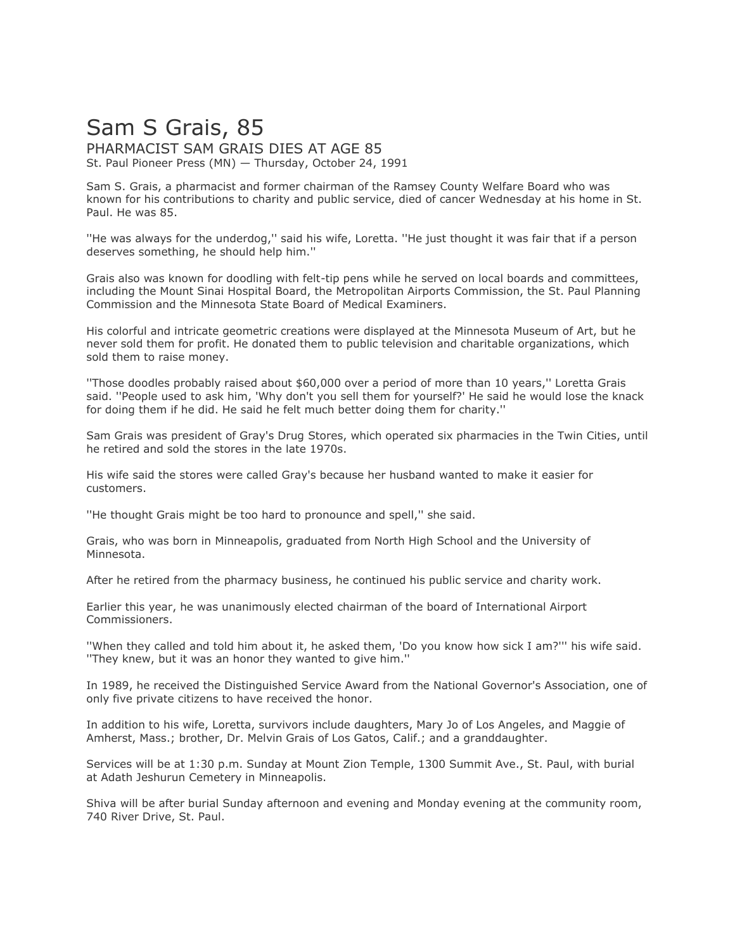## Sam S Grais, 85 PHARMACIST SAM GRAIS DIES AT AGE 85

St. Paul Pioneer Press (MN) — Thursday, October 24, 1991

Sam S. Grais, a pharmacist and former chairman of the Ramsey County Welfare Board who was known for his contributions to charity and public service, died of cancer Wednesday at his home in St. Paul. He was 85.

''He was always for the underdog,'' said his wife, Loretta. ''He just thought it was fair that if a person deserves something, he should help him.''

Grais also was known for doodling with felt-tip pens while he served on local boards and committees, including the Mount Sinai Hospital Board, the Metropolitan Airports Commission, the St. Paul Planning Commission and the Minnesota State Board of Medical Examiners.

His colorful and intricate geometric creations were displayed at the Minnesota Museum of Art, but he never sold them for profit. He donated them to public television and charitable organizations, which sold them to raise money.

''Those doodles probably raised about \$60,000 over a period of more than 10 years,'' Loretta Grais said. ''People used to ask him, 'Why don't you sell them for yourself?' He said he would lose the knack for doing them if he did. He said he felt much better doing them for charity.''

Sam Grais was president of Gray's Drug Stores, which operated six pharmacies in the Twin Cities, until he retired and sold the stores in the late 1970s.

His wife said the stores were called Gray's because her husband wanted to make it easier for customers.

''He thought Grais might be too hard to pronounce and spell,'' she said.

Grais, who was born in Minneapolis, graduated from North High School and the University of Minnesota.

After he retired from the pharmacy business, he continued his public service and charity work.

Earlier this year, he was unanimously elected chairman of the board of International Airport Commissioners.

''When they called and told him about it, he asked them, 'Do you know how sick I am?''' his wife said. ''They knew, but it was an honor they wanted to give him.''

In 1989, he received the Distinguished Service Award from the National Governor's Association, one of only five private citizens to have received the honor.

In addition to his wife, Loretta, survivors include daughters, Mary Jo of Los Angeles, and Maggie of Amherst, Mass.; brother, Dr. Melvin Grais of Los Gatos, Calif.; and a granddaughter.

Services will be at 1:30 p.m. Sunday at Mount Zion Temple, 1300 Summit Ave., St. Paul, with burial at Adath Jeshurun Cemetery in Minneapolis.

Shiva will be after burial Sunday afternoon and evening and Monday evening at the community room, 740 River Drive, St. Paul.